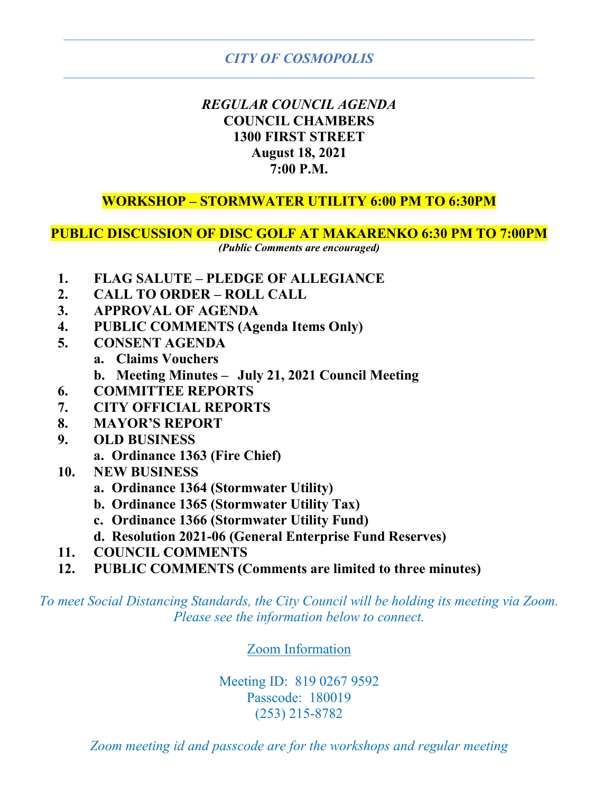## *REGULAR COUNCIL AGENDA* **COUNCIL CHAMBERS 1300 FIRST STREET August 18, 2021 7:00 P.M.**

## **WORKSHOP – STORMWATER UTILITY 6:00 PM TO 6:30PM**

## **PUBLIC DISCUSSION OF DISC GOLF AT MAKARENKO 6:30 PM TO 7:00PM**

*(Public Comments are encouraged)* 

- **1. FLAG SALUTE PLEDGE OF ALLEGIANCE**
- **2. CALL TO ORDER ROLL CALL**
- **3. APPROVAL OF AGENDA**
- **4. PUBLIC COMMENTS (Agenda Items Only)**
- **5. CONSENT AGENDA**
	- **a. Claims Vouchers**
	- **b. Meeting Minutes July 21, 2021 Council Meeting**
- **6. COMMITTEE REPORTS**
- **7. CITY OFFICIAL REPORTS**
- **8. MAYOR'S REPORT**
- **9. OLD BUSINESS**
	- **a. Ordinance 1363 (Fire Chief)**
- **10. NEW BUSINESS**
	- **a. Ordinance 1364 (Stormwater Utility)**
	- **b. Ordinance 1365 (Stormwater Utility Tax)**
	- **c. Ordinance 1366 (Stormwater Utility Fund)**
	- **d. Resolution 2021-06 (General Enterprise Fund Reserves)**
- **11. COUNCIL COMMENTS**
- **12. PUBLIC COMMENTS (Comments are limited to three minutes)**

*To meet Social Distancing Standards, the City Council will be holding its meeting via Zoom. Please see the information below to connect.*

## Zoom Information

Meeting ID: 819 0267 9592 Passcode: 180019 (253) 215-8782

*Zoom meeting id and passcode are for the workshops and regular meeting*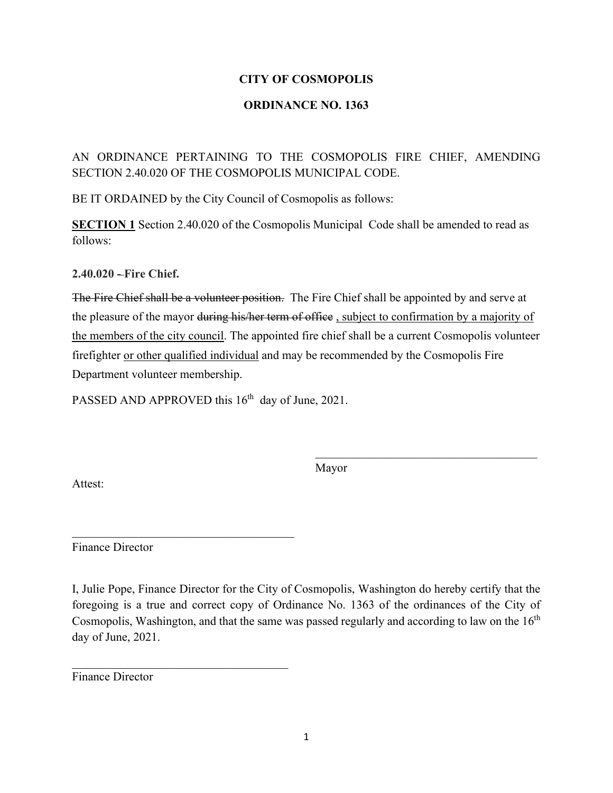## **ORDINANCE NO. 1363**

AN ORDINANCE PERTAINING TO THE COSMOPOLIS FIRE CHIEF, AMENDING SECTION 2.40.020 OF THE COSMOPOLIS MUNICIPAL CODE.

BE IT ORDAINED by the City Council of Cosmopolis as follows:

**SECTION 1** Section 2.40.020 of the Cosmopolis Municipal Code shall be amended to read as follows:

**2.40.020 - Fire Chief.** 

The Fire Chief shall be a volunteer position. The Fire Chief shall be appointed by and serve at the pleasure of the mayor <del>during his/her term of office</del>, subject to confirmation by a majority of the members of the city council. The appointed fire chief shall be a current Cosmopolis volunteer firefighter or other qualified individual and may be recommended by the Cosmopolis Fire Department volunteer membership.

PASSED AND APPROVED this 16<sup>th</sup> day of June, 2021.

\_\_\_\_\_\_\_\_\_\_\_\_\_\_\_\_\_\_\_\_\_\_\_\_\_\_\_\_\_\_\_\_\_\_\_\_\_

Mayor

\_\_\_\_\_\_\_\_\_\_\_\_\_\_\_\_\_\_\_\_\_\_\_\_\_\_\_\_\_\_\_\_\_\_\_\_\_

Attest:

Finance Director

I, Julie Pope, Finance Director for the City of Cosmopolis, Washington do hereby certify that the foregoing is a true and correct copy of Ordinance No. 1363 of the ordinances of the City of Cosmopolis, Washington, and that the same was passed regularly and according to law on the  $16<sup>th</sup>$ day of June, 2021.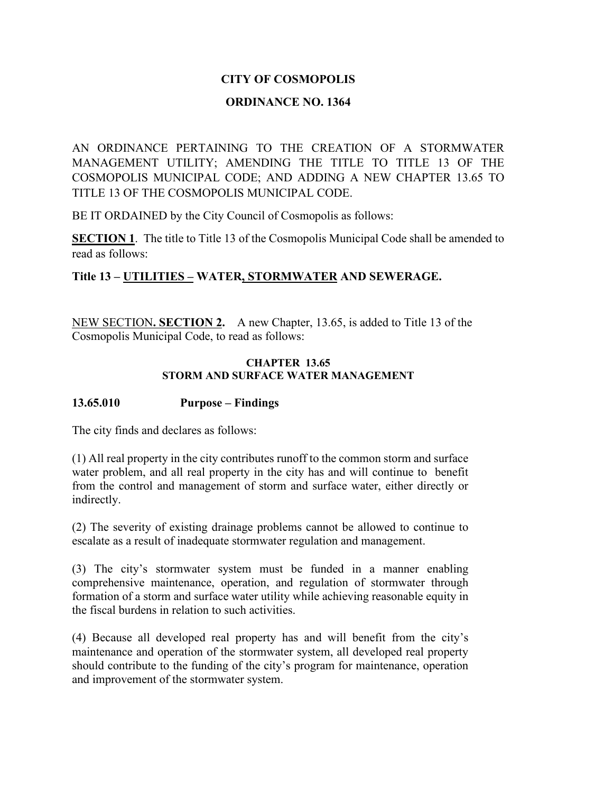#### **ORDINANCE NO. 1364**

AN ORDINANCE PERTAINING TO THE CREATION OF A STORMWATER MANAGEMENT UTILITY; AMENDING THE TITLE TO TITLE 13 OF THE COSMOPOLIS MUNICIPAL CODE; AND ADDING A NEW CHAPTER 13.65 TO TITLE 13 OF THE COSMOPOLIS MUNICIPAL CODE.

BE IT ORDAINED by the City Council of Cosmopolis as follows:

**SECTION 1**. The title to Title 13 of the Cosmopolis Municipal Code shall be amended to read as follows:

## **Title 13 – UTILITIES – WATER, STORMWATER AND SEWERAGE.**

NEW SECTION**. SECTION 2.** A new Chapter, 13.65, is added to Title 13 of the Cosmopolis Municipal Code, to read as follows:

#### **CHAPTER 13.65 STORM AND SURFACE WATER MANAGEMENT**

#### **13.65.010 Purpose – Findings**

The city finds and declares as follows:

(1) All real property in the city contributes runoff to the common storm and surface water problem, and all real property in the city has and will continue to benefit from the control and management of storm and surface water, either directly or indirectly.

(2) The severity of existing drainage problems cannot be allowed to continue to escalate as a result of inadequate stormwater regulation and management.

(3) The city's stormwater system must be funded in a manner enabling comprehensive maintenance, operation, and regulation of stormwater through formation of a storm and surface water utility while achieving reasonable equity in the fiscal burdens in relation to such activities.

(4) Because all developed real property has and will benefit from the city's maintenance and operation of the stormwater system, all developed real property should contribute to the funding of the city's program for maintenance, operation and improvement of the stormwater system.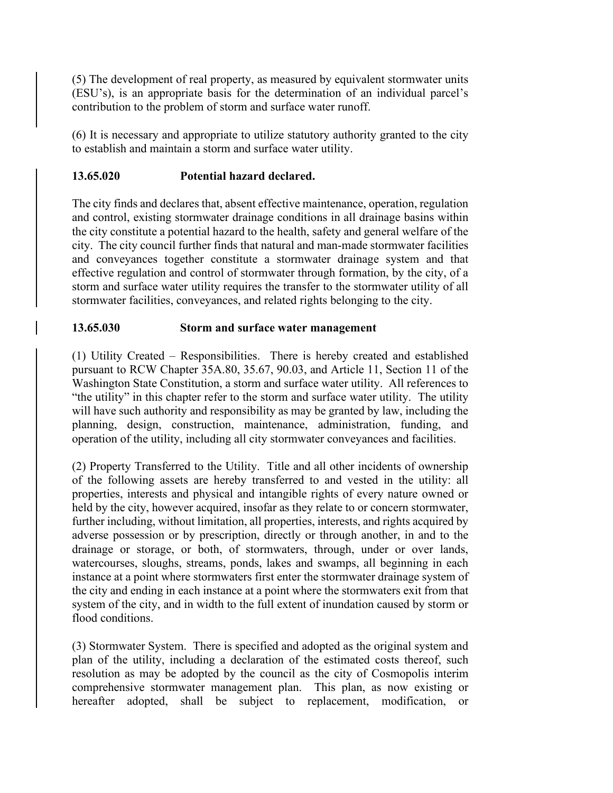(5) The development of real property, as measured by equivalent stormwater units (ESU's), is an appropriate basis for the determination of an individual parcel's contribution to the problem of storm and surface water runoff.

(6) It is necessary and appropriate to utilize statutory authority granted to the city to establish and maintain a storm and surface water utility.

## **13.65.020 Potential hazard declared.**

The city finds and declares that, absent effective maintenance, operation, regulation and control, existing stormwater drainage conditions in all drainage basins within the city constitute a potential hazard to the health, safety and general welfare of the city. The city council further finds that natural and man-made stormwater facilities and conveyances together constitute a stormwater drainage system and that effective regulation and control of stormwater through formation, by the city, of a storm and surface water utility requires the transfer to the stormwater utility of all stormwater facilities, conveyances, and related rights belonging to the city.

## **13.65.030 Storm and surface water management**

(1) Utility Created – Responsibilities. There is hereby created and established pursuant to RCW Chapter 35A.80, 35.67, 90.03, and Article 11, Section 11 of the Washington State Constitution, a storm and surface water utility. All references to "the utility" in this chapter refer to the storm and surface water utility. The utility will have such authority and responsibility as may be granted by law, including the planning, design, construction, maintenance, administration, funding, and operation of the utility, including all city stormwater conveyances and facilities.

(2) Property Transferred to the Utility. Title and all other incidents of ownership of the following assets are hereby transferred to and vested in the utility: all properties, interests and physical and intangible rights of every nature owned or held by the city, however acquired, insofar as they relate to or concern stormwater, further including, without limitation, all properties, interests, and rights acquired by adverse possession or by prescription, directly or through another, in and to the drainage or storage, or both, of stormwaters, through, under or over lands, watercourses, sloughs, streams, ponds, lakes and swamps, all beginning in each instance at a point where stormwaters first enter the stormwater drainage system of the city and ending in each instance at a point where the stormwaters exit from that system of the city, and in width to the full extent of inundation caused by storm or flood conditions.

(3) Stormwater System. There is specified and adopted as the original system and plan of the utility, including a declaration of the estimated costs thereof, such resolution as may be adopted by the council as the city of Cosmopolis interim comprehensive stormwater management plan. This plan, as now existing or hereafter adopted, shall be subject to replacement, modification, or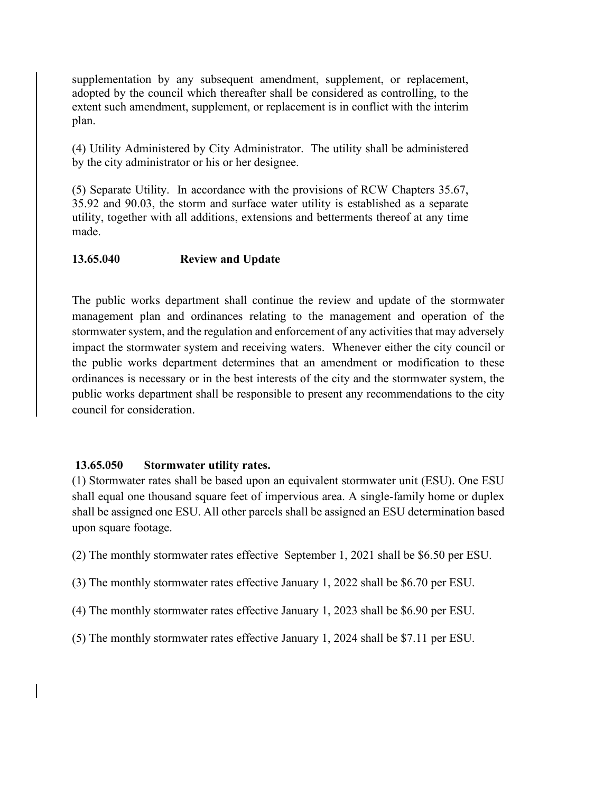supplementation by any subsequent amendment, supplement, or replacement, adopted by the council which thereafter shall be considered as controlling, to the extent such amendment, supplement, or replacement is in conflict with the interim plan.

(4) Utility Administered by City Administrator. The utility shall be administered by the city administrator or his or her designee.

(5) Separate Utility. In accordance with the provisions of RCW Chapters 35.67, 35.92 and 90.03, the storm and surface water utility is established as a separate utility, together with all additions, extensions and betterments thereof at any time made.

#### **13.65.040 Review and Update**

The public works department shall continue the review and update of the stormwater management plan and ordinances relating to the management and operation of the stormwater system, and the regulation and enforcement of any activities that may adversely impact the stormwater system and receiving waters. Whenever either the city council or the public works department determines that an amendment or modification to these ordinances is necessary or in the best interests of the city and the stormwater system, the public works department shall be responsible to present any recommendations to the city council for consideration.

#### **13.65.050 Stormwater utility rates.**

(1) Stormwater rates shall be based upon an equivalent stormwater unit (ESU). One ESU shall equal one thousand square feet of impervious area. A single-family home or duplex shall be assigned one ESU. All other parcels shall be assigned an ESU determination based upon square footage.

(2) The monthly stormwater rates effective September 1, 2021 shall be \$6.50 per ESU.

- (3) The monthly stormwater rates effective January 1, 2022 shall be \$6.70 per ESU.
- (4) The monthly stormwater rates effective January 1, 2023 shall be \$6.90 per ESU.

(5) The monthly stormwater rates effective January 1, 2024 shall be \$7.11 per ESU.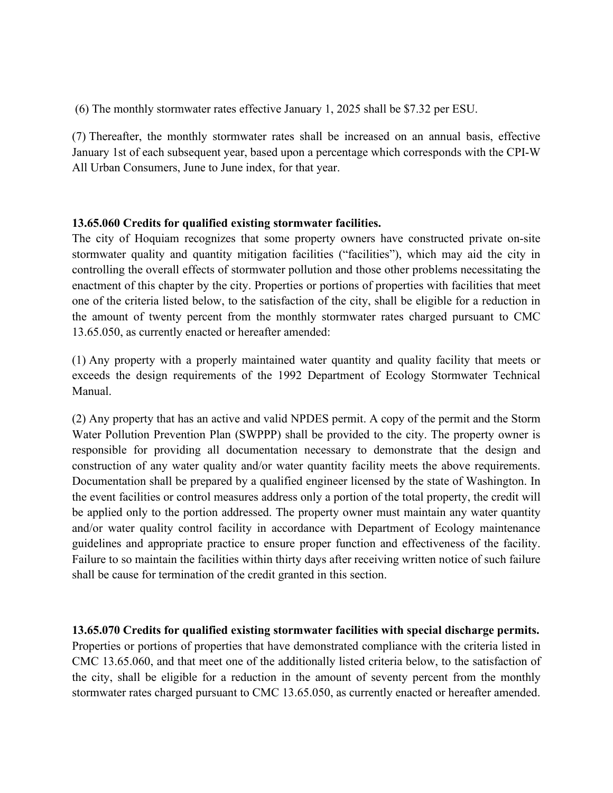(6) The monthly stormwater rates effective January 1, 2025 shall be \$7.32 per ESU.

(7) Thereafter, the monthly stormwater rates shall be increased on an annual basis, effective January 1st of each subsequent year, based upon a percentage which corresponds with the CPI-W All Urban Consumers, June to June index, for that year.

## **13.65.060 Credits for qualified existing stormwater facilities.**

The city of Hoquiam recognizes that some property owners have constructed private on-site stormwater quality and quantity mitigation facilities ("facilities"), which may aid the city in controlling the overall effects of stormwater pollution and those other problems necessitating the enactment of this chapter by the city. Properties or portions of properties with facilities that meet one of the criteria listed below, to the satisfaction of the city, shall be eligible for a reduction in the amount of twenty percent from the monthly stormwater rates charged pursuant to CMC 13.65.050, as currently enacted or hereafter amended:

(1) Any property with a properly maintained water quantity and quality facility that meets or exceeds the design requirements of the 1992 Department of Ecology Stormwater Technical Manual.

(2) Any property that has an active and valid NPDES permit. A copy of the permit and the Storm Water Pollution Prevention Plan (SWPPP) shall be provided to the city. The property owner is responsible for providing all documentation necessary to demonstrate that the design and construction of any water quality and/or water quantity facility meets the above requirements. Documentation shall be prepared by a qualified engineer licensed by the state of Washington. In the event facilities or control measures address only a portion of the total property, the credit will be applied only to the portion addressed. The property owner must maintain any water quantity and/or water quality control facility in accordance with Department of Ecology maintenance guidelines and appropriate practice to ensure proper function and effectiveness of the facility. Failure to so maintain the facilities within thirty days after receiving written notice of such failure shall be cause for termination of the credit granted in this section.

**13.65.070 Credits for qualified existing stormwater facilities with special discharge permits.** Properties or portions of properties that have demonstrated compliance with the criteria listed in CMC 13.65.060, and that meet one of the additionally listed criteria below, to the satisfaction of the city, shall be eligible for a reduction in the amount of seventy percent from the monthly stormwater rates charged pursuant to CMC 13.65.050, as currently enacted or hereafter amended.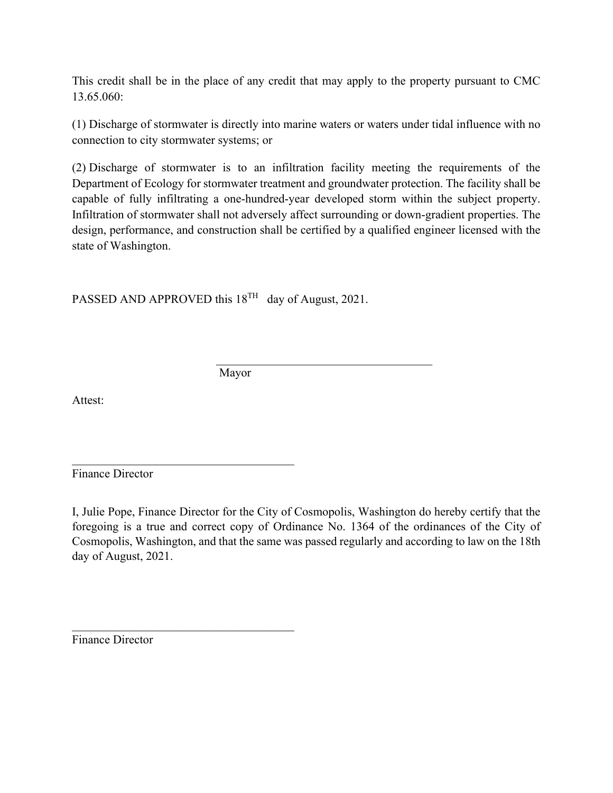This credit shall be in the place of any credit that may apply to the property pursuant to CMC 13.65.060:

(1) Discharge of stormwater is directly into marine waters or waters under tidal influence with no connection to city stormwater systems; or

(2) Discharge of stormwater is to an infiltration facility meeting the requirements of the Department of Ecology for stormwater treatment and groundwater protection. The facility shall be capable of fully infiltrating a one-hundred-year developed storm within the subject property. Infiltration of stormwater shall not adversely affect surrounding or down-gradient properties. The design, performance, and construction shall be certified by a qualified engineer licensed with the state of Washington.

 $\mathcal{L}_\mathcal{L}$ 

PASSED AND APPROVED this  $18^{TH}$  day of August, 2021.

 $\mathcal{L}_\text{max}$  , and the set of the set of the set of the set of the set of the set of the set of the set of the set of the set of the set of the set of the set of the set of the set of the set of the set of the set of the

Mayor

Attest:

Finance Director

I, Julie Pope, Finance Director for the City of Cosmopolis, Washington do hereby certify that the foregoing is a true and correct copy of Ordinance No. 1364 of the ordinances of the City of Cosmopolis, Washington, and that the same was passed regularly and according to law on the 18th day of August, 2021.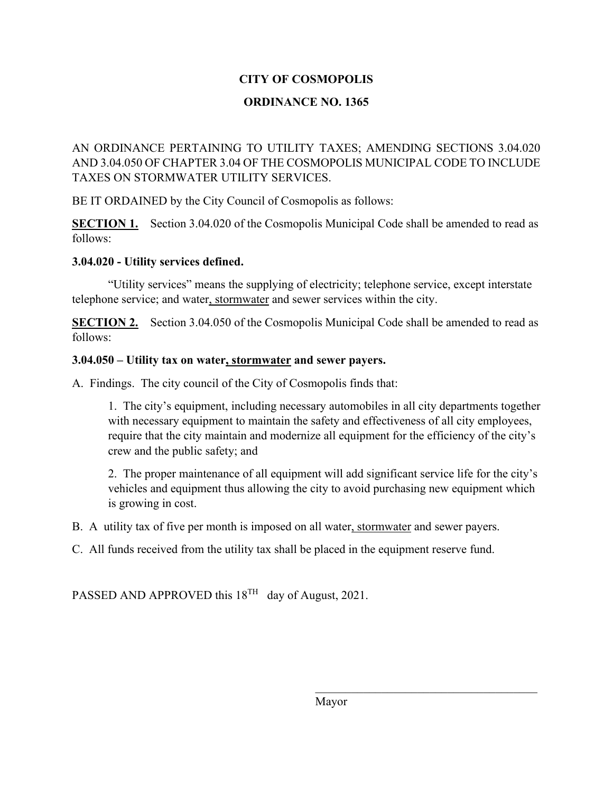## **ORDINANCE NO. 1365**

AN ORDINANCE PERTAINING TO UTILITY TAXES; AMENDING SECTIONS 3.04.020 AND 3.04.050 OF CHAPTER 3.04 OF THE COSMOPOLIS MUNICIPAL CODE TO INCLUDE TAXES ON STORMWATER UTILITY SERVICES.

BE IT ORDAINED by the City Council of Cosmopolis as follows:

**SECTION 1.** Section 3.04.020 of the Cosmopolis Municipal Code shall be amended to read as follows:

## **3.04.020 - Utility services defined.**

"Utility services" means the supplying of electricity; telephone service, except interstate telephone service; and water, stormwater and sewer services within the city.

**SECTION 2.** Section 3.04.050 of the Cosmopolis Municipal Code shall be amended to read as follows:

## **3.04.050 – Utility tax on water, stormwater and sewer payers.**

A. Findings. The city council of the City of Cosmopolis finds that:

1. The city's equipment, including necessary automobiles in all city departments together with necessary equipment to maintain the safety and effectiveness of all city employees, require that the city maintain and modernize all equipment for the efficiency of the city's crew and the public safety; and

2. The proper maintenance of all equipment will add significant service life for the city's vehicles and equipment thus allowing the city to avoid purchasing new equipment which is growing in cost.

B. A utility tax of five per month is imposed on all water, stormwater and sewer payers.

C. All funds received from the utility tax shall be placed in the equipment reserve fund.

PASSED AND APPROVED this  $18^{TH}$  day of August, 2021.

Mayor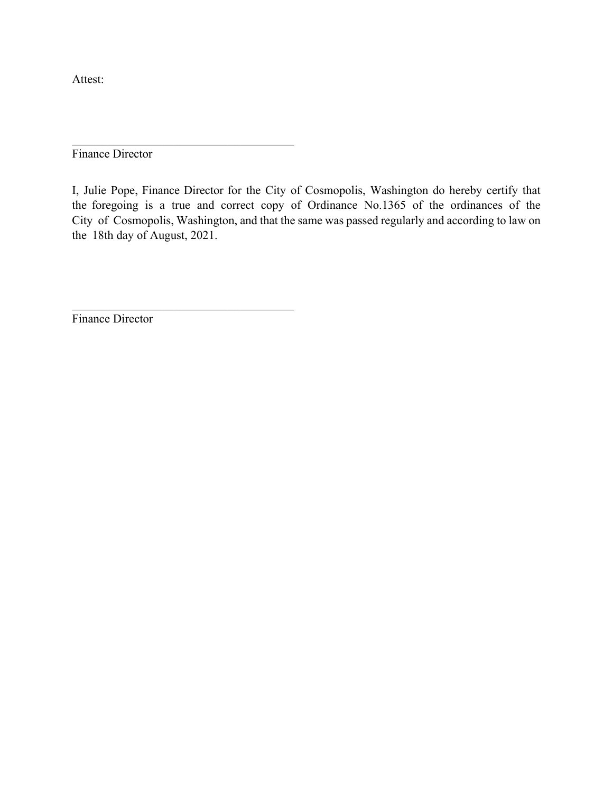Attest:

Finance Director

\_\_\_\_\_\_\_\_\_\_\_\_\_\_\_\_\_\_\_\_\_\_\_\_\_\_\_\_\_\_\_\_\_\_\_\_\_

\_\_\_\_\_\_\_\_\_\_\_\_\_\_\_\_\_\_\_\_\_\_\_\_\_\_\_\_\_\_\_\_\_\_\_\_\_

I, Julie Pope, Finance Director for the City of Cosmopolis, Washington do hereby certify that the foregoing is a true and correct copy of Ordinance No.1365 of the ordinances of the City of Cosmopolis, Washington, and that the same was passed regularly and according to law on the 18th day of August, 2021.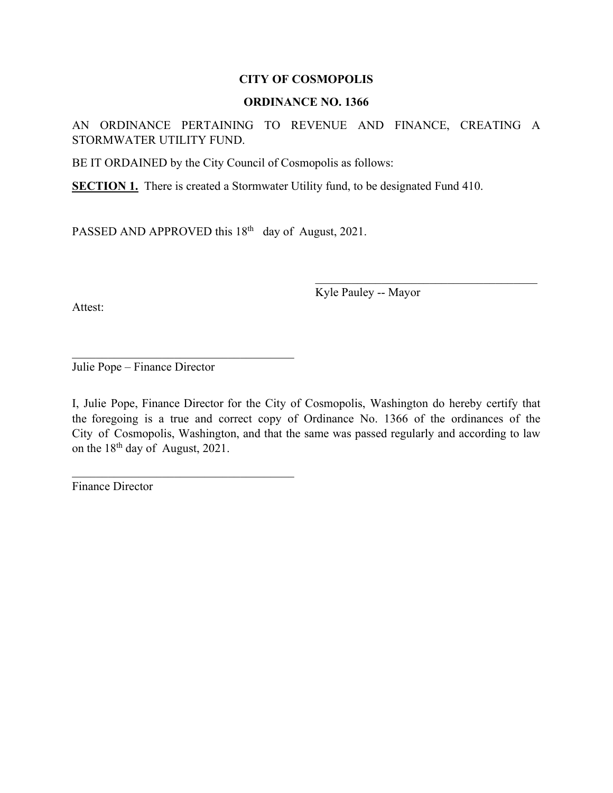#### **ORDINANCE NO. 1366**

AN ORDINANCE PERTAINING TO REVENUE AND FINANCE, CREATING A STORMWATER UTILITY FUND.

BE IT ORDAINED by the City Council of Cosmopolis as follows:

**SECTION 1.** There is created a Stormwater Utility fund, to be designated Fund 410.

PASSED AND APPROVED this  $18<sup>th</sup>$  day of August, 2021.

Attest:

Kyle Pauley -- Mayor

\_\_\_\_\_\_\_\_\_\_\_\_\_\_\_\_\_\_\_\_\_\_\_\_\_\_\_\_\_\_\_\_\_\_\_\_\_

Julie Pope – Finance Director

\_\_\_\_\_\_\_\_\_\_\_\_\_\_\_\_\_\_\_\_\_\_\_\_\_\_\_\_\_\_\_\_\_\_\_\_\_

I, Julie Pope, Finance Director for the City of Cosmopolis, Washington do hereby certify that the foregoing is a true and correct copy of Ordinance No. 1366 of the ordinances of the City of Cosmopolis, Washington, and that the same was passed regularly and according to law on the 18th day of August, 2021.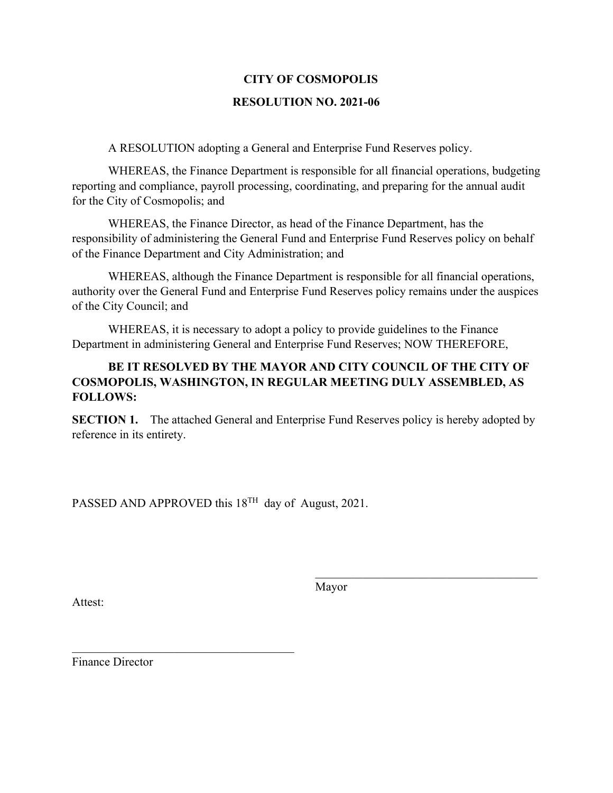#### **RESOLUTION NO. 2021-06**

A RESOLUTION adopting a General and Enterprise Fund Reserves policy.

WHEREAS, the Finance Department is responsible for all financial operations, budgeting reporting and compliance, payroll processing, coordinating, and preparing for the annual audit for the City of Cosmopolis; and

WHEREAS, the Finance Director, as head of the Finance Department, has the responsibility of administering the General Fund and Enterprise Fund Reserves policy on behalf of the Finance Department and City Administration; and

WHEREAS, although the Finance Department is responsible for all financial operations, authority over the General Fund and Enterprise Fund Reserves policy remains under the auspices of the City Council; and

WHEREAS, it is necessary to adopt a policy to provide guidelines to the Finance Department in administering General and Enterprise Fund Reserves; NOW THEREFORE,

## **BE IT RESOLVED BY THE MAYOR AND CITY COUNCIL OF THE CITY OF COSMOPOLIS, WASHINGTON, IN REGULAR MEETING DULY ASSEMBLED, AS FOLLOWS:**

**SECTION 1.** The attached General and Enterprise Fund Reserves policy is hereby adopted by reference in its entirety.

PASSED AND APPROVED this 18<sup>TH</sup> day of August, 2021.

Attest:

Mayor

\_\_\_\_\_\_\_\_\_\_\_\_\_\_\_\_\_\_\_\_\_\_\_\_\_\_\_\_\_\_\_\_\_\_\_\_\_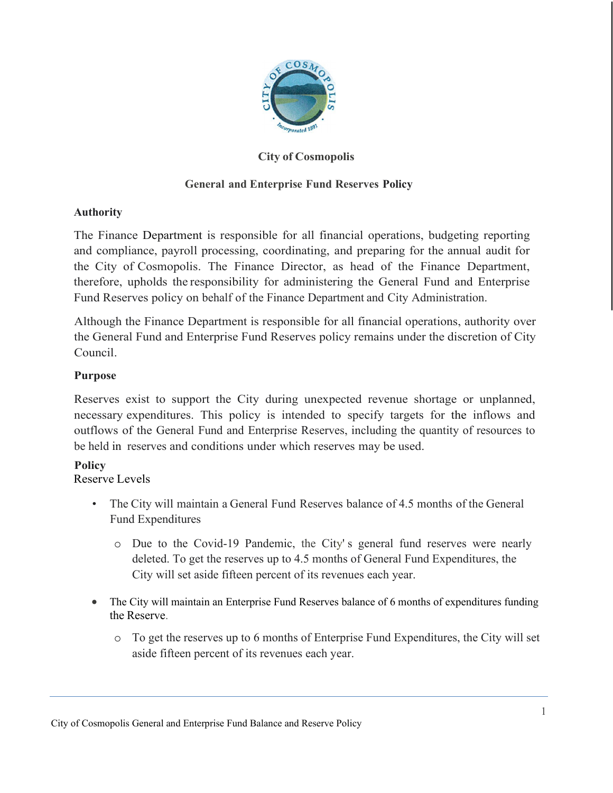

## **City of Cosmopolis**

## **General and Enterprise Fund Reserves Policy**

## **Authority**

The Finance Department is responsible for all financial operations, budgeting reporting and compliance, payroll processing, coordinating, and preparing for the annual audit for the City of Cosmopolis. The Finance Director, as head of the Finance Department, therefore, upholds the responsibility for administering the General Fund and Enterprise Fund Reserves policy on behalf of the Finance Department and City Administration.

Although the Finance Department is responsible for all financial operations, authority over the General Fund and Enterprise Fund Reserves policy remains under the discretion of City Council.

## **Purpose**

Reserves exist to support the City during unexpected revenue shortage or unplanned, necessary expenditures. This policy is intended to specify targets for the inflows and outflows of the General Fund and Enterprise Reserves, including the quantity of resources to be held in reserves and conditions under which reserves may be used.

## **Policy**

Reserve Levels

- The City will maintain a General Fund Reserves balance of 4.5 months of the General Fund Expenditures
	- o Due to the Covid-19 Pandemic, the City' s general fund reserves were nearly deleted. To get the reserves up to 4.5 months of General Fund Expenditures, the City will set aside fifteen percent of its revenues each year.
- The City will maintain an Enterprise Fund Reserves balance of 6 months of expenditures funding the Reserve.
	- o To get the reserves up to 6 months of Enterprise Fund Expenditures, the City will set aside fifteen percent of its revenues each year.